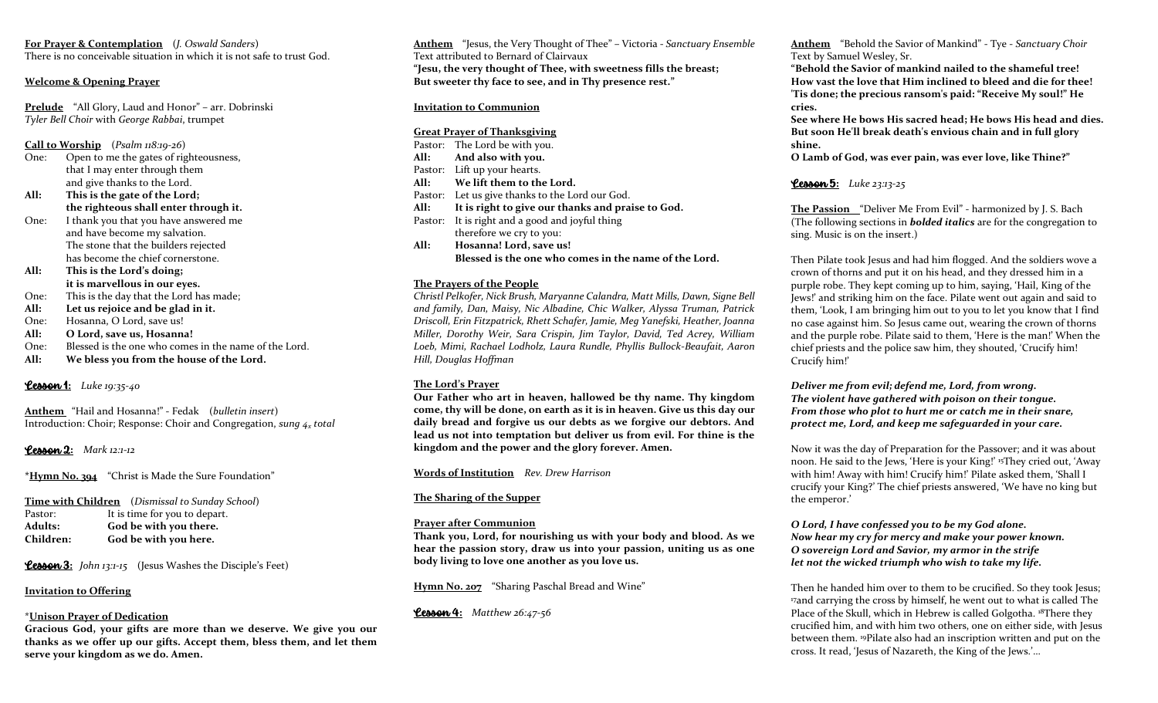**For Prayer & Contemplation** (*J. Oswald Sanders*) There is no conceivable situation in which it is not safe to trust God.

#### **Welcome & Opening Prayer**

**Prelude** "All Glory, Laud and Honor" – arr. Dobrinski *Tyler Bell Choir* with *George Rabbai*, trumpet

**Call to Worship** (*Psalm 118:19-26*)

- One: Open to me the gates of righteousness, that I may enter through them and give thanks to the Lord.
- **All: This is the gate of the Lord; the righteous shall enter through it.**
- One: I thank you that you have answered me and have become my salvation. The stone that the builders rejected has become the chief cornerstone.

**All: This is the Lord's doing; it is marvellous in our eyes.**

- One: This is the day that the Lord has made;
- **All: Let us rejoice and be glad in it.**
- One: Hosanna, O Lord, save us!
- **All: O Lord, save us, Hosanna!**
- One: Blessed is the one who comes in the name of the Lord.
- **All: We bless you from the house of the Lord.**

# Lesson 1**:** *Luke 19:35-40*

**Anthem** "Hail and Hosanna!" - Fedak (*bulletin insert*) Introduction: Choir; Response: Choir and Congregation, *sung 4<sup>x</sup> total*

# Lesson 2**:** *Mark 12:1-12*

**\*Hymn No. 394** "Christ is Made the Sure Foundation"

**Time with Children** (*Dismissal to Sunday School*) Pastor: It is time for you to depart. **Adults: God be with you there. Children: God be with you here.**

**Lesson 3:** *John 13:1-15* (Jesus Washes the Disciple's Feet)

# **Invitation to Offering**

#### \***Unison Prayer of Dedication**

**Gracious God, your gifts are more than we deserve. We give you our thanks as we offer up our gifts. Accept them, bless them, and let them serve your kingdom as we do. Amen.**

**Anthem** "Jesus, the Very Thought of Thee" – Victoria - *Sanctuary Ensemble* Text attributed to Bernard of Clairvaux **"Jesu, the very thought of Thee, with sweetness fills the breast; But sweeter thy face to see, and in Thy presence rest."**

#### **Invitation to Communion**

#### **Great Prayer of Thanksgiving**

Pastor: The Lord be with you. **All: And also with you.** Pastor: Lift up your hearts. **All: We lift them to the Lord.** Pastor: Let us give thanks to the Lord our God. **All: It is right to give our thanks and praise to God.** Pastor: It is right and a good and joyful thing therefore we cry to you: **All: Hosanna! Lord, save us! Blessed is the one who comes in the name of the Lord.**

#### **The Prayers of the People**

*Christl Pelkofer, Nick Brush, Maryanne Calandra, Matt Mills, Dawn, Signe Bell and family, Dan, Maisy, Nic Albadine, Chic Walker, Alyssa Truman, Patrick Driscoll, Erin Fitzpatrick, Rhett Schafer, Jamie, Meg Yanefski, Heather, Joanna Miller, Dorothy Weir, Sara Crispin, Jim Taylor, David, Ted Acrey, William Loeb, Mimi, Rachael Lodholz, Laura Rundle, Phyllis Bullock-Beaufait, Aaron Hill, Douglas Hoffman*

#### **The Lord's Prayer**

**Our Father who art in heaven, hallowed be thy name. Thy kingdom come, thy will be done, on earth as it is in heaven. Give us this day our daily bread and forgive us our debts as we forgive our debtors. And lead us not into temptation but deliver us from evil. For thine is the kingdom and the power and the glory forever. Amen.**

**Words of Institution** *Rev. Drew Harrison*

#### **The Sharing of the Supper**

#### **Prayer after Communion**

**Thank you, Lord, for nourishing us with your body and blood. As we hear the passion story, draw us into your passion, uniting us as one body living to love one another as you love us.** 

**Hymn No. 207** "Sharing Paschal Bread and Wine"

Lesson 4**:** *Matthew 26:47-56*

**Anthem**"Behold the Savior of Mankind" - Tye - *Sanctuary Choir* Text by Samuel Wesley, Sr.

**"Behold the Savior of mankind nailed to the shameful tree! How vast the love that Him inclined to bleed and die for thee! 'Tis done; the precious ransom's paid: "Receive My soul!" He cries.**

**See where He bows His sacred head; He bows His head and dies. But soon He'll break death's envious chain and in full glory shine.**

**O Lamb of God, was ever pain, was ever love, like Thine?"**

Lesson 5**:** *Luke 23:13-25* 

**The Passion** "Deliver Me From Evil" - harmonized by J. S. Bach (The following sections in *bolded italics* are for the congregation to sing. Music is on the insert.)

Then Pilate took Jesus and had him flogged. And the soldiers wove a crown of thorns and put it on his head, and they dressed him in a purple robe. They kept coming up to him, saying, 'Hail, King of the Jews!' and striking him on the face. Pilate went out again and said to them, 'Look, I am bringing him out to you to let you know that I find no case against him. So Jesus came out, wearing the crown of thorns and the purple robe. Pilate said to them, 'Here is the man!' When the chief priests and the police saw him, they shouted, 'Crucify him! Crucify him!'

*Deliver me from evil; defend me, Lord, from wrong. The violent have gathered with poison on their tongue. From those who plot to hurt me or catch me in their snare, protect me, Lord, and keep me safeguarded in your care.* 

Now it was the day of Preparation for the Passover; and it was about noon. He said to the Jews, 'Here is your King!' <sup>15</sup>They cried out, 'Away with him! Away with him! Crucify him!' Pilate asked them, 'Shall I crucify your King?' The chief priests answered, 'We have no king but the emperor.'

#### *O Lord, I have confessed you to be my God alone. Now hear my cry for mercy and make your power known. O sovereign Lord and Savior, my armor in the strife let not the wicked triumph who wish to take my life.*

Then he handed him over to them to be crucified. So they took Jesus; <sup>17</sup>and carrying the cross by himself, he went out to what is called The Place of the Skull, which in Hebrew is called Golgotha. <sup>18</sup>There they crucified him, and with him two others, one on either side, with Jesus between them. <sup>19</sup>Pilate also had an inscription written and put on the cross. It read, 'Jesus of Nazareth, the King of the Jews.'…